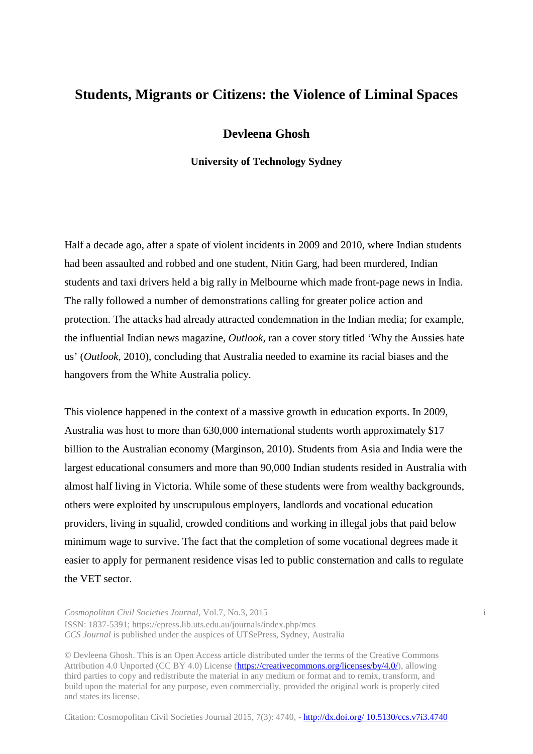## **Students, Migrants or Citizens: the Violence of Liminal Spaces**

## **Devleena Ghosh**

**University of Technology Sydney**

Half a decade ago, after a spate of violent incidents in 2009 and 2010, where Indian students had been assaulted and robbed and one student, Nitin Garg, had been murdered, Indian students and taxi drivers held a big rally in Melbourne which made front-page news in India. The rally followed a number of demonstrations calling for greater police action and protection. The attacks had already attracted condemnation in the Indian media; for example, the influential Indian news magazine, *Outlook*, ran a cover story titled 'Why the Aussies hate us' (*Outlook*, 2010), concluding that Australia needed to examine its racial biases and the hangovers from the White Australia policy.

This violence happened in the context of a massive growth in education exports. In 2009, Australia was host to more than 630,000 international students worth approximately \$17 billion to the Australian economy (Marginson, 2010). Students from Asia and India were the largest educational consumers and more than 90,000 Indian students resided in Australia with almost half living in Victoria. While some of these students were from wealthy backgrounds, others were exploited by unscrupulous employers, landlords and vocational education providers, living in squalid, crowded conditions and working in illegal jobs that paid below minimum wage to survive. The fact that the completion of some vocational degrees made it easier to apply for permanent residence visas led to public consternation and calls to regulate the VET sector.

Citation: Cosmopolitan Civil Societies Journal 2015, 7(3): 4740, - http://dx.doi.org/ [10.5130/ccs.v7i3.4740](http://dx.doi.org/%2010.5130/ccs.v7i3.4740)

*Cosmopolitan Civil Societies Journal*, Vol.7, No.3, 2015 i ISSN: 1837-5391; https://epress.lib.uts.edu.au/journals/index.php/mcs *CCS Journal* is published under the auspices of UTSePress, Sydney, Australia

<sup>©</sup> Devleena Ghosh. This is an Open Access article distributed under the terms of the Creative Commons Attribution 4.0 Unported (CC BY 4.0) License [\(https://creativecommons.org/licenses/by/4.0/\)](https://creativecommons.org/licenses/by/4.0/), allowing third parties to copy and redistribute the material in any medium or format and to remix, transform, and build upon the material for any purpose, even commercially, provided the original work is properly cited and states its license.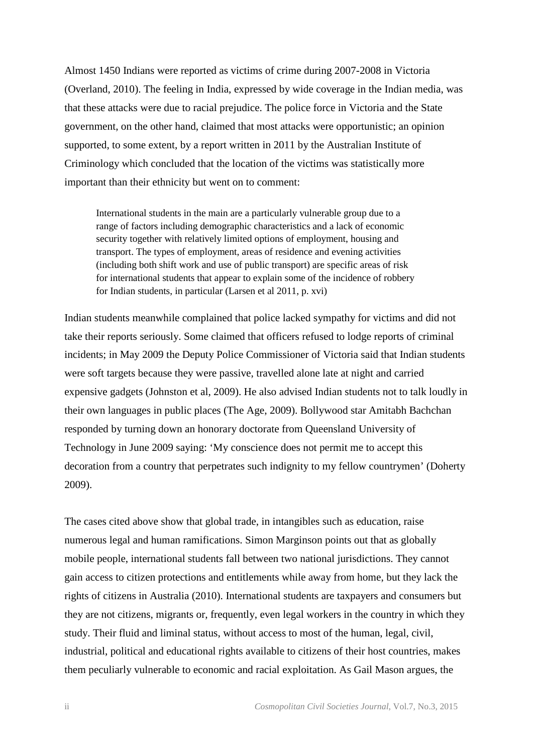Almost 1450 Indians were reported as victims of crime during 2007-2008 in Victoria (Overland, 2010). The feeling in India, expressed by wide coverage in the Indian media, was that these attacks were due to racial prejudice. The police force in Victoria and the State government, on the other hand, claimed that most attacks were opportunistic; an opinion supported, to some extent, by a report written in 2011 by the Australian Institute of Criminology which concluded that the location of the victims was statistically more important than their ethnicity but went on to comment:

International students in the main are a particularly vulnerable group due to a range of factors including demographic characteristics and a lack of economic security together with relatively limited options of employment, housing and transport. The types of employment, areas of residence and evening activities (including both shift work and use of public transport) are specific areas of risk for international students that appear to explain some of the incidence of robbery for Indian students, in particular (Larsen et al 2011, p. xvi)

Indian students meanwhile complained that police lacked sympathy for victims and did not take their reports seriously. Some claimed that officers refused to lodge reports of criminal incidents; in May 2009 the Deputy Police Commissioner of Victoria said that Indian students were soft targets because they were passive, travelled alone late at night and carried expensive gadgets (Johnston et al, 2009). He also advised Indian students not to talk loudly in their own languages in public places (The Age, 2009). Bollywood star Amitabh Bachchan responded by turning down an honorary doctorate from Queensland University of Technology in June 2009 saying: 'My conscience does not permit me to accept this decoration from a country that perpetrates such indignity to my fellow countrymen' (Doherty 2009).

The cases cited above show that global trade, in intangibles such as education, raise numerous legal and human ramifications. Simon Marginson points out that as globally mobile people, international students fall between two national jurisdictions. They cannot gain access to citizen protections and entitlements while away from home, but they lack the rights of citizens in Australia (2010). International students are taxpayers and consumers but they are not citizens, migrants or, frequently, even legal workers in the country in which they study. Their fluid and liminal status, without access to most of the human, legal, civil, industrial, political and educational rights available to citizens of their host countries, makes them peculiarly vulnerable to economic and racial exploitation. As Gail Mason argues, the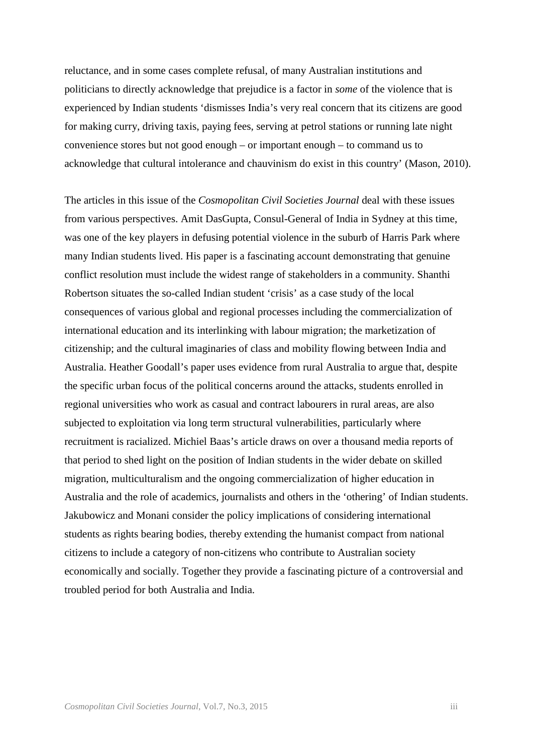reluctance, and in some cases complete refusal, of many Australian institutions and politicians to directly acknowledge that prejudice is a factor in *some* of the violence that is experienced by Indian students 'dismisses India's very real concern that its citizens are good for making curry, driving taxis, paying fees, serving at petrol stations or running late night convenience stores but not good enough – or important enough – to command us to acknowledge that cultural intolerance and chauvinism do exist in this country' (Mason, 2010).

The articles in this issue of the *Cosmopolitan Civil Societies Journal* deal with these issues from various perspectives. Amit DasGupta, Consul-General of India in Sydney at this time, was one of the key players in defusing potential violence in the suburb of Harris Park where many Indian students lived. His paper is a fascinating account demonstrating that genuine conflict resolution must include the widest range of stakeholders in a community. Shanthi Robertson situates the so-called Indian student 'crisis' as a case study of the local consequences of various global and regional processes including the commercialization of international education and its interlinking with labour migration; the marketization of citizenship; and the cultural imaginaries of class and mobility flowing between India and Australia. Heather Goodall's paper uses evidence from rural Australia to argue that, despite the specific urban focus of the political concerns around the attacks, students enrolled in regional universities who work as casual and contract labourers in rural areas, are also subjected to exploitation via long term structural vulnerabilities, particularly where recruitment is racialized. Michiel Baas's article draws on over a thousand media reports of that period to shed light on the position of Indian students in the wider debate on skilled migration, multiculturalism and the ongoing commercialization of higher education in Australia and the role of academics, journalists and others in the 'othering' of Indian students. Jakubowicz and Monani consider the policy implications of considering international students as rights bearing bodies, thereby extending the humanist compact from national citizens to include a category of non-citizens who contribute to Australian society economically and socially. Together they provide a fascinating picture of a controversial and troubled period for both Australia and India.